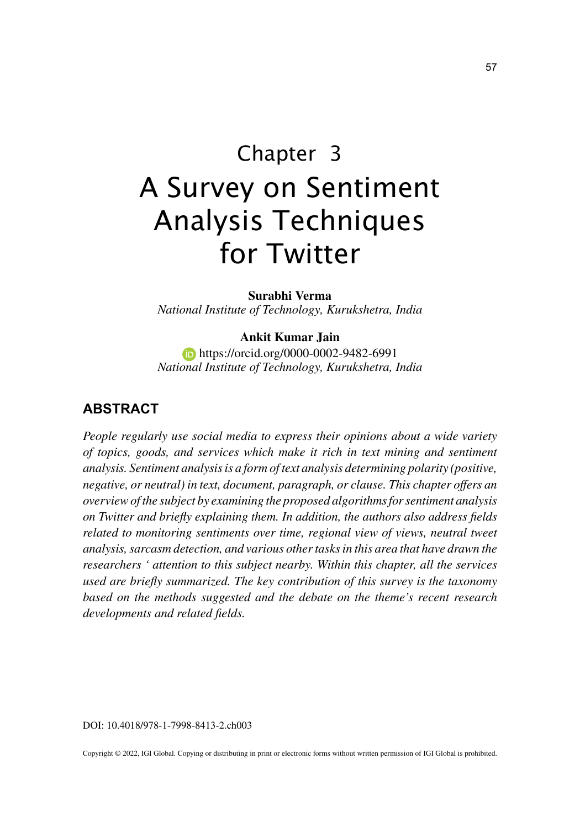# Chapter 3 A Survey on Sentiment Analysis Techniques for Twitter

**Surabhi Verma** *National Institute of Technology, Kurukshetra, India*

#### **Ankit Kumar Jain**

**https://orcid.org/0000-0002-9482-6991** *National Institute of Technology, Kurukshetra, India*

## **ABSTRACT**

*People regularly use social media to express their opinions about a wide variety of topics, goods, and services which make it rich in text mining and sentiment analysis. Sentiment analysis is a form of text analysis determining polarity (positive, negative, or neutral) in text, document, paragraph, or clause. This chapter offers an overview of the subject by examining the proposed algorithms for sentiment analysis on Twitter and briefly explaining them. In addition, the authors also address fields related to monitoring sentiments over time, regional view of views, neutral tweet analysis, sarcasm detection, and various other tasks in this area that have drawn the researchers ' attention to this subject nearby. Within this chapter, all the services used are briefly summarized. The key contribution of this survey is the taxonomy based on the methods suggested and the debate on the theme's recent research developments and related fields.*

DOI: 10.4018/978-1-7998-8413-2.ch003

Copyright © 2022, IGI Global. Copying or distributing in print or electronic forms without written permission of IGI Global is prohibited.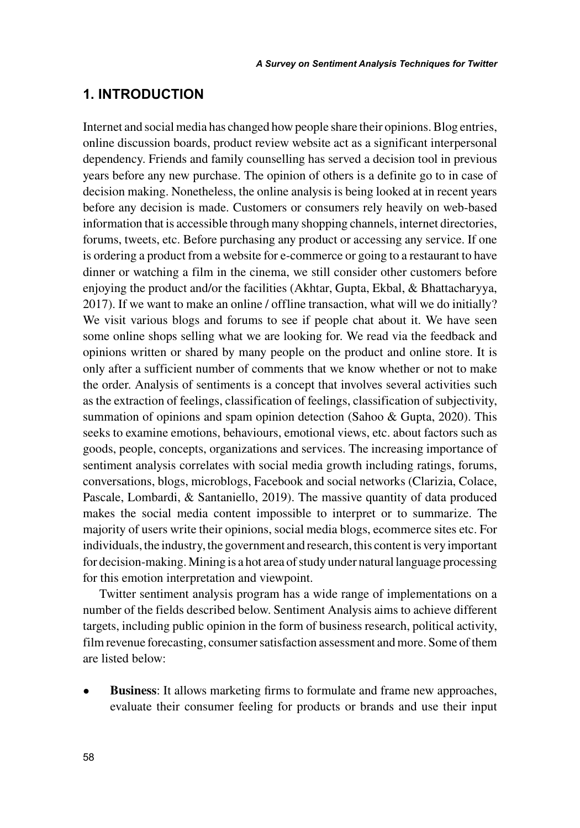## **1. INTRODUCTION**

Internet and social media has changed how people share their opinions. Blog entries, online discussion boards, product review website act as a significant interpersonal dependency. Friends and family counselling has served a decision tool in previous years before any new purchase. The opinion of others is a definite go to in case of decision making. Nonetheless, the online analysis is being looked at in recent years before any decision is made. Customers or consumers rely heavily on web-based information that is accessible through many shopping channels, internet directories, forums, tweets, etc. Before purchasing any product or accessing any service. If one is ordering a product from a website for e-commerce or going to a restaurant to have dinner or watching a film in the cinema, we still consider other customers before enjoying the product and/or the facilities (Akhtar, Gupta, Ekbal, & Bhattacharyya, 2017). If we want to make an online / offline transaction, what will we do initially? We visit various blogs and forums to see if people chat about it. We have seen some online shops selling what we are looking for. We read via the feedback and opinions written or shared by many people on the product and online store. It is only after a sufficient number of comments that we know whether or not to make the order. Analysis of sentiments is a concept that involves several activities such as the extraction of feelings, classification of feelings, classification of subjectivity, summation of opinions and spam opinion detection (Sahoo & Gupta, 2020). This seeks to examine emotions, behaviours, emotional views, etc. about factors such as goods, people, concepts, organizations and services. The increasing importance of sentiment analysis correlates with social media growth including ratings, forums, conversations, blogs, microblogs, Facebook and social networks (Clarizia, Colace, Pascale, Lombardi, & Santaniello, 2019). The massive quantity of data produced makes the social media content impossible to interpret or to summarize. The majority of users write their opinions, social media blogs, ecommerce sites etc. For individuals, the industry, the government and research, this content is very important for decision-making. Mining is a hot area of study under natural language processing for this emotion interpretation and viewpoint.

Twitter sentiment analysis program has a wide range of implementations on a number of the fields described below. Sentiment Analysis aims to achieve different targets, including public opinion in the form of business research, political activity, film revenue forecasting, consumer satisfaction assessment and more. Some of them are listed below:

**Business**: It allows marketing firms to formulate and frame new approaches, evaluate their consumer feeling for products or brands and use their input